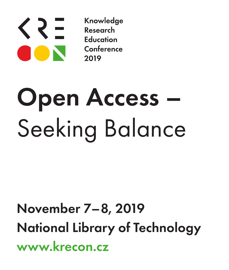

Knowledge Research **Education** Conference 2019

# Open Access – Seeking Balance

## November 7–8, 2019 National Library of Technology www.krecon.cz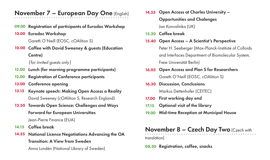#### November 7 – European Day One (English)

09.00 Registration of participants of Eurodoc Workshop

### 10.00 Eurodoc Workshop

Gareth O'Neill (EOSC, cOAlition S)

10.00 Coffee with David Sweeney & guests (Education Centre)

*{for invited guests only}*

- 12.00 Lunch (for morning programme participants)
- 12.00 Registration of Conference participants
- 13.00 Conference opening
- 13.15 Keynote speech: Making Open Access a Reality David Sweeney (cOAlition S, Research England)
- 13.50 Towards Open Science: Challenges and Ways Forward for European Universities Jean-Pierre Finance (EUA)
- 14.15 Coffee break
- 14.35 National Licence Negotiations Advancing the OA Transition: A View from Sweden

Anna Lundén (National Library of Sweden)

- 14.55 Open Access at Charles University -Opportunities and Chalenges Jan Konvalinka (UK)
- 15.20 Coffee break
- 15.40 Open Access A Scientist's Perspective

Peter H. Seeberger (Max-Planck-Institute of Colloids and Interfaces Department of Biomolecular System, Freie Universität Berlin)

- 16.05 Open Access and Plan S for Researchers Gareth O'Neill (EOSC, cOAlition S)
- 16.30 Discussion, Conclusions Markus Dettenhofer (CEITEC)
- First working day end 17.00
- Optional visit of the library 17.15
- Mid-time Reception at Municipal House 19.00

#### November 8 – Czech Day Two (Czech with

translation)

08.30 Registration, coffee, snacks